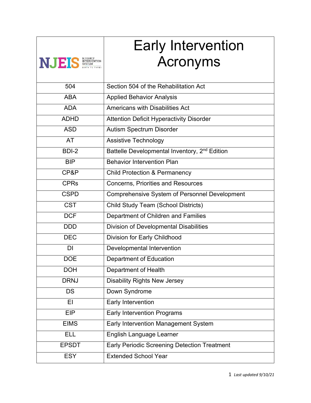|                 | <b>Early Intervention</b>                                 |
|-----------------|-----------------------------------------------------------|
| NJEIS NERENTION | <b>Acronyms</b>                                           |
|                 |                                                           |
| 504             | Section 504 of the Rehabilitation Act                     |
| <b>ABA</b>      | <b>Applied Behavior Analysis</b>                          |
| <b>ADA</b>      | Americans with Disabilities Act                           |
| <b>ADHD</b>     | <b>Attention Deficit Hyperactivity Disorder</b>           |
| <b>ASD</b>      | Autism Spectrum Disorder                                  |
| <b>AT</b>       | Assistive Technology                                      |
| BDI-2           | Battelle Developmental Inventory, 2 <sup>nd</sup> Edition |
| <b>BIP</b>      | <b>Behavior Intervention Plan</b>                         |
| CP&P            | <b>Child Protection &amp; Permanency</b>                  |
| <b>CPRs</b>     | <b>Concerns, Priorities and Resources</b>                 |
| <b>CSPD</b>     | <b>Comprehensive System of Personnel Development</b>      |
| <b>CST</b>      | Child Study Team (School Districts)                       |
| <b>DCF</b>      | Department of Children and Families                       |
| <b>DDD</b>      | Division of Developmental Disabilities                    |
| <b>DEC</b>      | Division for Early Childhood                              |
| DI              | Developmental Intervention                                |
| <b>DOE</b>      | <b>Department of Education</b>                            |
| <b>DOH</b>      | Department of Health                                      |
| <b>DRNJ</b>     | <b>Disability Rights New Jersey</b>                       |
| <b>DS</b>       | Down Syndrome                                             |
| EI              | Early Intervention                                        |
| <b>EIP</b>      | <b>Early Intervention Programs</b>                        |
| <b>EIMS</b>     | Early Intervention Management System                      |
| <b>ELL</b>      | English Language Learner                                  |
| <b>EPSDT</b>    | <b>Early Periodic Screening Detection Treatment</b>       |
| <b>ESY</b>      | <b>Extended School Year</b>                               |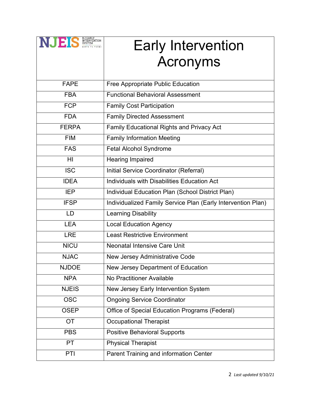| NJES SYSTEM  | <b>Early Intervention</b>                                    |
|--------------|--------------------------------------------------------------|
|              | <b>Acronyms</b>                                              |
|              |                                                              |
| <b>FAPE</b>  | Free Appropriate Public Education                            |
| <b>FBA</b>   | <b>Functional Behavioral Assessment</b>                      |
| <b>FCP</b>   | <b>Family Cost Participation</b>                             |
| <b>FDA</b>   | <b>Family Directed Assessment</b>                            |
| <b>FERPA</b> | <b>Family Educational Rights and Privacy Act</b>             |
| <b>FIM</b>   | <b>Family Information Meeting</b>                            |
| <b>FAS</b>   | Fetal Alcohol Syndrome                                       |
| HI           | <b>Hearing Impaired</b>                                      |
| <b>ISC</b>   | Initial Service Coordinator (Referral)                       |
| <b>IDEA</b>  | Individuals with Disabilities Education Act                  |
| <b>IEP</b>   | Individual Education Plan (School District Plan)             |
| <b>IFSP</b>  | Individualized Family Service Plan (Early Intervention Plan) |
| <b>LD</b>    | <b>Learning Disability</b>                                   |
| <b>LEA</b>   | <b>Local Education Agency</b>                                |
| <b>LRE</b>   | <b>Least Restrictive Environment</b>                         |
| <b>NICU</b>  | <b>Neonatal Intensive Care Unit</b>                          |
| <b>NJAC</b>  | New Jersey Administrative Code                               |
| <b>NJDOE</b> | New Jersey Department of Education                           |
| <b>NPA</b>   | No Practitioner Available                                    |
| <b>NJEIS</b> | New Jersey Early Intervention System                         |
| <b>OSC</b>   | <b>Ongoing Service Coordinator</b>                           |
| <b>OSEP</b>  | Office of Special Education Programs (Federal)               |
| <b>OT</b>    | <b>Occupational Therapist</b>                                |
| <b>PBS</b>   | <b>Positive Behavioral Supports</b>                          |
| <b>PT</b>    | <b>Physical Therapist</b>                                    |
| PTI          | Parent Training and information Center                       |